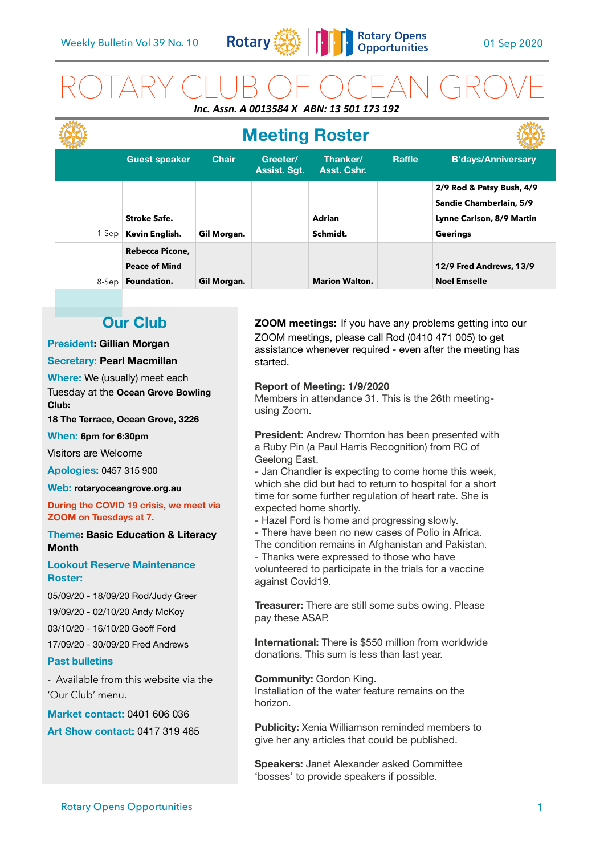

## ROTARY CLUB OF OCEAN GROVE *Inc. Assn. A 0013584 X ABN: 13 501 173 192*

|       | <b>Meeting Roster</b> |              |                          |                         |        |                           |
|-------|-----------------------|--------------|--------------------------|-------------------------|--------|---------------------------|
|       | <b>Guest speaker</b>  | <b>Chair</b> | Greeter/<br>Assist. Sgt. | Thanker/<br>Asst. Cshr. | Raffle | <b>B'days/Anniversary</b> |
|       |                       |              |                          |                         |        | 2/9 Rod & Patsy Bush, 4/9 |
|       |                       |              |                          |                         |        | Sandie Chamberlain, 5/9   |
|       | <b>Stroke Safe.</b>   |              |                          | <b>Adrian</b>           |        | Lynne Carlson, 8/9 Martin |
| 1-Sep | Kevin English.        | Gil Morgan.  |                          | Schmidt.                |        | <b>Geerings</b>           |
|       | Rebecca Picone,       |              |                          |                         |        |                           |
|       | <b>Peace of Mind</b>  |              |                          |                         |        | 12/9 Fred Andrews, 13/9   |
| 8-Sep | Foundation.           | Gil Morgan.  |                          | <b>Marion Walton.</b>   |        | <b>Noel Emselle</b>       |

## **Our Club**

#### **President: Gillian Morgan**

#### **Secretary: Pearl Macmillan**

**Where:** We (usually) meet each Tuesday at the **Ocean Grove Bowling Club:** 

**18 The Terrace, Ocean Grove, 3226** 

**When: 6pm for 6:30pm** 

Visitors are Welcome

**Apologies:** 0457 315 900

**Web: [rotaryoceangrove.org.au](http://rotaryoceangrove.org.au)**

**During the COVID 19 crisis, we meet via ZOOM on Tuesdays at 7.**

**Theme: Basic Education & Literacy Month** 

#### **Lookout Reserve Maintenance Roster:**

05/09/20 - 18/09/20 Rod/Judy Greer

19/09/20 - 02/10/20 Andy McKoy

03/10/20 - 16/10/20 Geoff Ford

17/09/20 - 30/09/20 Fred Andrews

#### **Past bulletins**

- Available from this website via the 'Our Club' menu.

**Market contact:** 0401 606 036

**Art Show contact:** 0417 319 465

**ZOOM meetings:** If you have any problems getting into our ZOOM meetings, please call Rod (0410 471 005) to get assistance whenever required - even after the meeting has started.

#### **Report of Meeting: 1/9/2020**

Members in attendance 31. This is the 26th meetingusing Zoom.

**President**: Andrew Thornton has been presented with a Ruby Pin (a Paul Harris Recognition) from RC of Geelong East.

- Jan Chandler is expecting to come home this week, which she did but had to return to hospital for a short time for some further regulation of heart rate. She is expected home shortly.

- Hazel Ford is home and progressing slowly.

- There have been no new cases of Polio in Africa. The condition remains in Afghanistan and Pakistan.

- Thanks were expressed to those who have volunteered to participate in the trials for a vaccine against Covid19.

**Treasurer:** There are still some subs owing. Please pay these ASAP.

**International:** There is \$550 million from worldwide donations. This sum is less than last year.

**Community:** Gordon King. Installation of the water feature remains on the horizon.

**Publicity:** Xenia Williamson reminded members to give her any articles that could be published.

**Speakers:** Janet Alexander asked Committee 'bosses' to provide speakers if possible.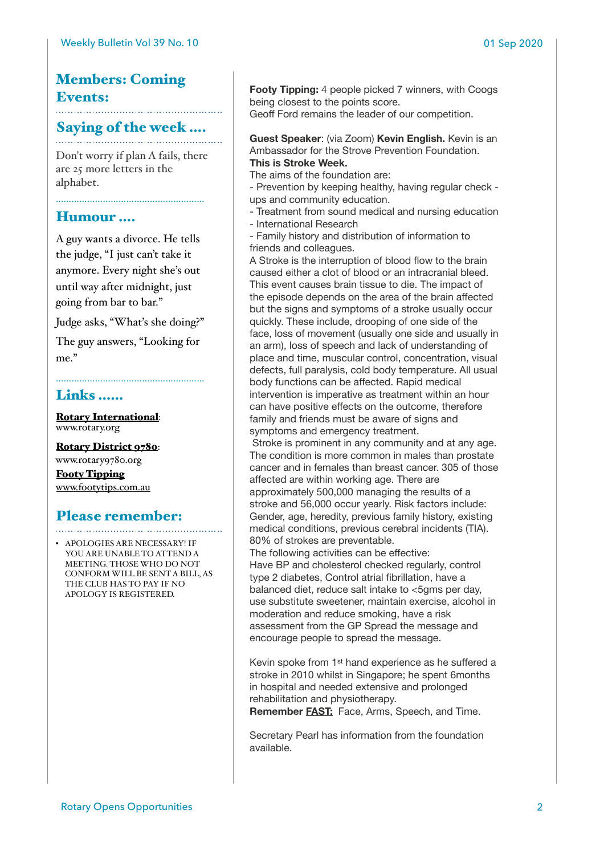## Members: Coming Events:

# Saying of the week ....

Don't worry if plan A fails, there are 25 more letters in the alphabet.

…………………………………………………

### Humour ….

A guy wants a divorce. He tells the judge, "I just can't take it anymore. Every night she's out until way after midnight, just going from bar to bar."

Judge asks, "What's she doing?"

The guy answers, "Looking for me"

…………………………………………………

## Links ……

[Rotary International](https://www.rotary.org): [www.rotary.org](http://www.rotary.org)

[Rotary District 9780](http://rotary9780.org): [www.rotary9780.org](http://www.rotary9780.org) [Footy Tipping](http://www.footytips.com.au) [www.footytips.com.au](http://www.footytips.com.au)

## Please remember:

• APOLOGIES ARE NECESSARY! IF YOU ARE UNABLE TO ATTEND A MEETING. THOSE WHO DO NOT CONFORM WILL BE SENT A BILL, AS THE CLUB HAS TO PAY IF NO APOLOGY IS REGISTERED.

**Footy Tipping:** 4 people picked 7 winners, with Coogs being closest to the points score.

Geoff Ford remains the leader of our competition.

**Guest Speaker**: (via Zoom) **Kevin English.** Kevin is an Ambassador for the Strove Prevention Foundation. **This is Stroke Week.** 

The aims of the foundation are:

- Prevention by keeping healthy, having regular check ups and community education.

- Treatment from sound medical and nursing education
- International Research

- Family history and distribution of information to friends and colleagues.

A Stroke is the interruption of blood flow to the brain caused either a clot of blood or an intracranial bleed. This event causes brain tissue to die. The impact of the episode depends on the area of the brain affected but the signs and symptoms of a stroke usually occur quickly. These include, drooping of one side of the face, loss of movement (usually one side and usually in an arm), loss of speech and lack of understanding of place and time, muscular control, concentration, visual defects, full paralysis, cold body temperature. All usual body functions can be affected. Rapid medical intervention is imperative as treatment within an hour can have positive effects on the outcome, therefore family and friends must be aware of signs and symptoms and emergency treatment.

 Stroke is prominent in any community and at any age. The condition is more common in males than prostate cancer and in females than breast cancer. 305 of those affected are within working age. There are approximately 500,000 managing the results of a stroke and 56,000 occur yearly. Risk factors include: Gender, age, heredity, previous family history, existing medical conditions, previous cerebral incidents (TIA). 80% of strokes are preventable.

The following activities can be effective: Have BP and cholesterol checked regularly, control type 2 diabetes, Control atrial fibrillation, have a balanced diet, reduce salt intake to <5gms per day, use substitute sweetener, maintain exercise, alcohol in moderation and reduce smoking, have a risk assessment from the GP Spread the message and encourage people to spread the message.

Kevin spoke from 1st hand experience as he suffered a stroke in 2010 whilst in Singapore; he spent 6months in hospital and needed extensive and prolonged rehabilitation and physiotherapy.

**Remember FAST:** Face, Arms, Speech, and Time.

Secretary Pearl has information from the foundation available.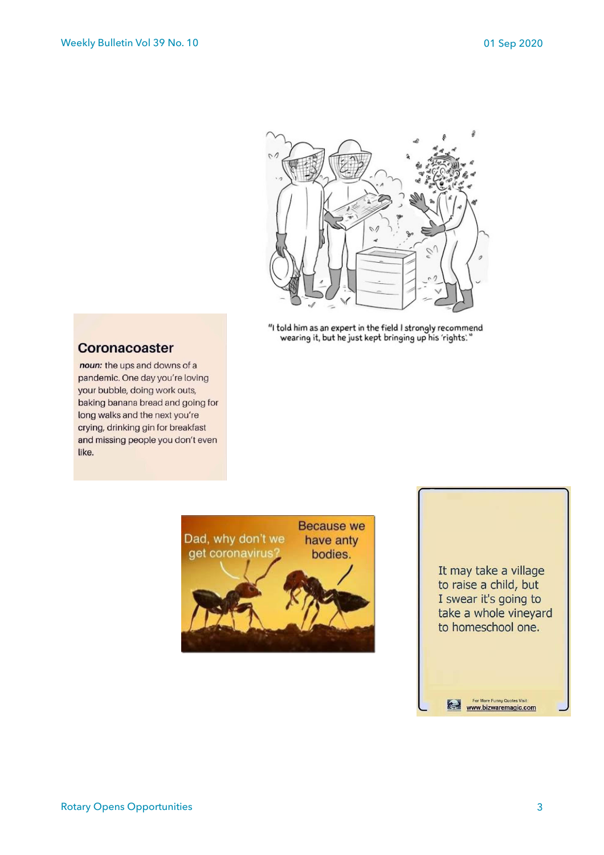

"I told him as an expert in the field I strongly recommend wearing it, but he just kept bringing up his 'rights."

### Coronacoaster

noun: the ups and downs of a pandemic. One day you're loving your bubble, doing work outs, baking banana bread and going for long walks and the next you're crying, drinking gin for breakfast and missing people you don't even like.





For More Funny Quotes Visit:<br>WWW.bizwaremagic.com

 $\left($